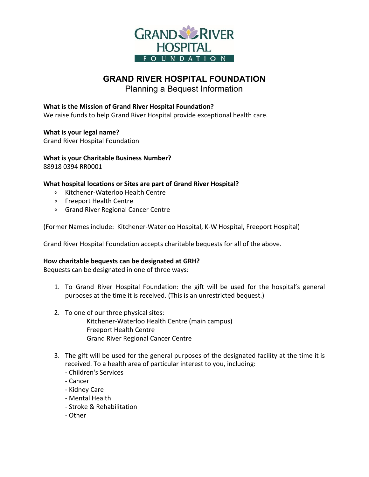

# **GRAND RIVER HOSPITAL FOUNDATION**

Planning a Bequest Information

### **What is the Mission of Grand River Hospital Foundation?**

We raise funds to help Grand River Hospital provide exceptional health care.

**What is your legal name?**

Grand River Hospital Foundation

**What is your Charitable Business Number?** 88918 0394 RR0001

#### **What hospital locations or Sites are part of Grand River Hospital?**

- ⬧ Kitchener-Waterloo Health Centre
- ⬧ Freeport Health Centre
- ⬧ Grand River Regional Cancer Centre

(Former Names include: Kitchener-Waterloo Hospital, K-W Hospital, Freeport Hospital)

Grand River Hospital Foundation accepts charitable bequests for all of the above.

#### **How charitable bequests can be designated at GRH?**

Bequests can be designated in one of three ways:

- 1. To Grand River Hospital Foundation: the gift will be used for the hospital's general purposes at the time it is received. (This is an unrestricted bequest.)
- 2. To one of our three physical sites:

Kitchener-Waterloo Health Centre (main campus) Freeport Health Centre Grand River Regional Cancer Centre

- 3. The gift will be used for the general purposes of the designated facility at the time it is received. To a health area of particular interest to you, including:
	- Children's Services
	- Cancer
	- Kidney Care
	- Mental Health
	- Stroke & Rehabilitation
	- Other